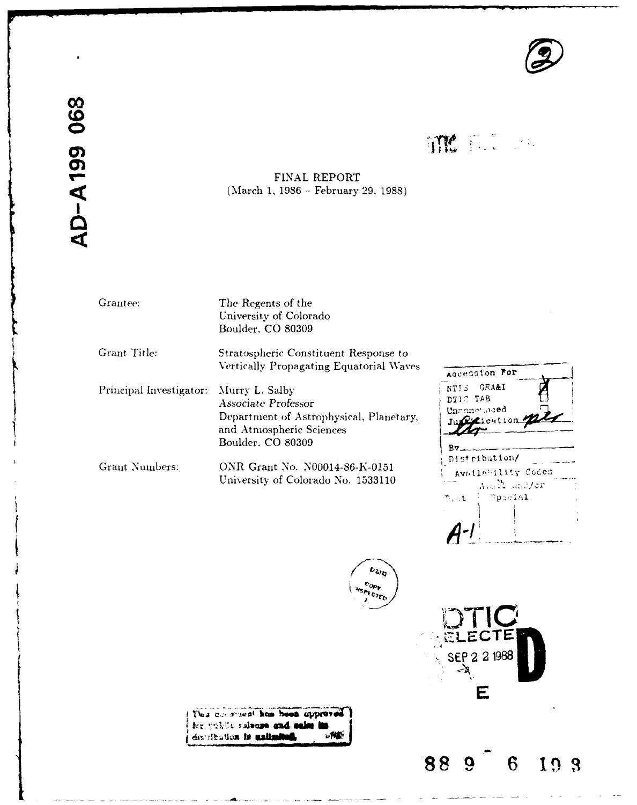

**ITM** E.C. on

# **~FINAL** REPORT ~(March *1,* **1986 -** February **29. 1988)**

AD-A199 068

Grantee: The Regents of the University of Colorado Boulder, CO 80309

Grant Title: Stratospheric Constituent Response to

Vertically Propagating Equatorial Waves Principal Investigator: Murry L. Salby **NT!S GRA&I** 

Associate Professor **D11** TAB Department of Astrophysical, Planetary, *Juge Lention* Boulder. **CO** 80309 **Boulder**. **By** 

University of Colorado No. 1533110

Grant Numbers: ONR Grant No. N00014-86-K-0151

Accession For Distribution/ Availability Codes A.all and/or Special nu t  $A^{-1}$ 

**ZCT SEP** 2 2 **<sup>1988</sup>**

**E**

**88 9 6 19**

 $v_{Ly}$ 

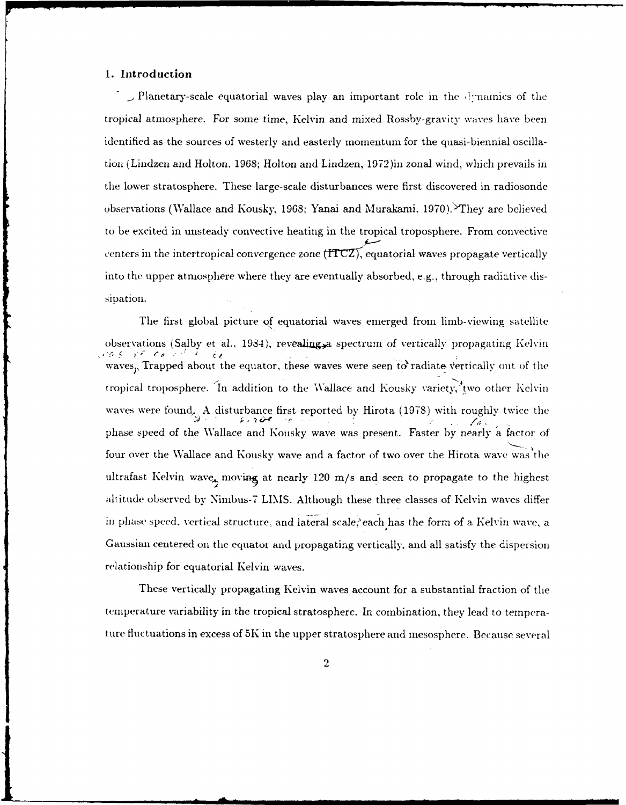## **1. Introduction**

**\_.** Planetary-scale equatorial waves play an important role in the ,:'nainics of the tropical atmosphere. For some time, Kelvin and mixed Rossby-gravity waves have been identified as the sources of westerly and easterly momentum for the quasi-biennial oscillation (Lindzen and Holton, 1968; Holton and Lindzen, 1972)in zonal wind, which prevails in the lower stratosphere. These large-scale disturbances were first discovered in radiosonde observations (Wallace and Kousky, 1968; Yanai and Murakami, 1970).'They are believed to be excited in unsteady convective heating in the tropical troposphere. From convective centers in the intertropical convergence zone  $(TTCZ)$ , equatorial waves propagate vertically into the upper atmosphere where they are eventually absorbed, e.g., through radiative dissipation.

The first global picture **of** equatorial waves emerged from limb-viewing satellite observations (Salby et al., 1984), revealing, a spectrum of vertically propagating Kelvin<br>co  $s - r \epsilon$ ,  $\epsilon_0$ waves<sub>p</sub>, Trapped about the equator, these waves were seen to radiate vertically out of the tropical troposphere. 'In addition to the 'Wallace and Kousky variety, two other Kelvin waves were found, A disturbance first reported by Hirota (1978) with roughly twice the phase speed of the Wallace and Kousky wave was present. Faster by nearly a factor of four over the Wallace and Kousky wave and a factor of two over the Hirota wave was the ultrafast Kelvin wave, moving at nearly 120 m/s and seen to propagate to the highest altitude observed by Nimbus-7 LIMS. Although these three classes of Kelvin waves differ in phase speed. vertical structure, and lateral scale,'each has the form of a Kelvin wave, a Gaussian centered on the equator and propagating vertically, and all satisfy the dispersion relationship for equatorial Kelvin waves.

These vertically propagating Kelvin waves account for a substantial fraction of the temperature variability in the tropical stratosphere. In combination, they lead to temperature fluctuations in excess of 5K in the upper stratosphere and mesosphere. Because several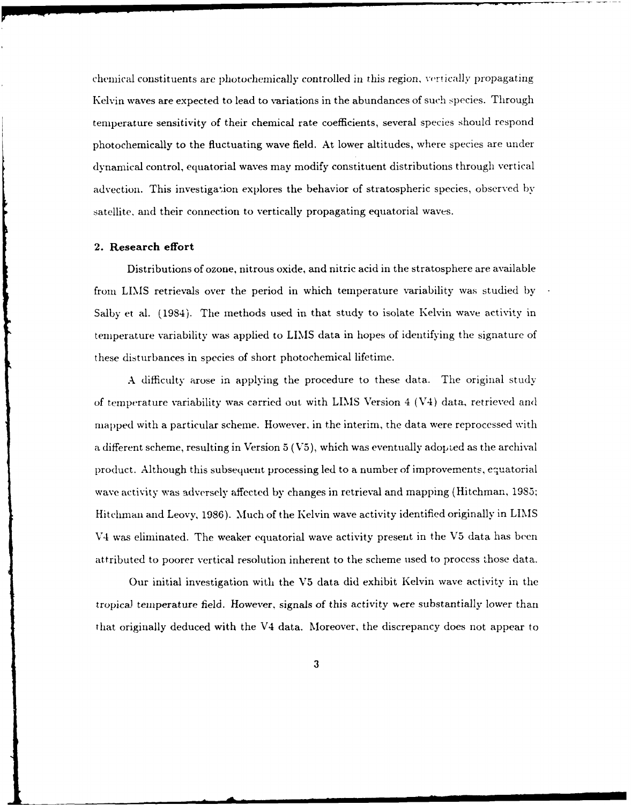chemical constituents are photochemically controlled in this region, vertically propagating Kelvin waves are expected to lead to variations in the abundances of such species. Through temperature sensitivity of their chemical rate coefficients, several species should respond photochemically to the fluctuating wave field. At lower altitudes, where species are under dynamical control, equatorial waves may modify constituent distributions through vertical advection. This investigation explores the behavior of stratospheric species, observed by satellite. and their connection to vertically propagating equatorial waves.

#### **2. Research effort**

Distributions of ozone, nitrous oxide, and nitric acid in the stratosphere are available from LIMS retrievals over the period in which temperature variability was studied by Salby et al. (1984). The methods used in that study to isolate Kelvin wave activity in temperature variability was applied to LIMS data in hopes of identifying the signature of these disturbances in species of short photochemical lifetime.

A difficulty arose in applying the procedure to these data. The original study of temperature variability was carried out with LIMS Version 4 (V4) data, retrieved and mapped with a particular scheme. However, in the interim, the data were reprocessed with a different scheme, resulting in Version  $5$  (V5), which was eventually adopted as the archival product. Although this subsequent processing led to a number of improvements, equatorial wave activity was adversely affected by changes in retrieval and mapping (Hitchman, 1985; Hitchman and Leovy, 1986). Much of the Kelvin wave activity identified originally in LIMS V4 was eliminated. The weaker equatorial wave activity present in the V5 data has been attributed to poorer vertical resolution inherent to the scheme used to process those data.

Our initial investigation with the **V5** data did exhibit Kelvin wave activity in the tropical temperature field. However, signals of this activity were substantially lower than that originally deduced with the V4 data. Moreover, the discrepancy does not appear to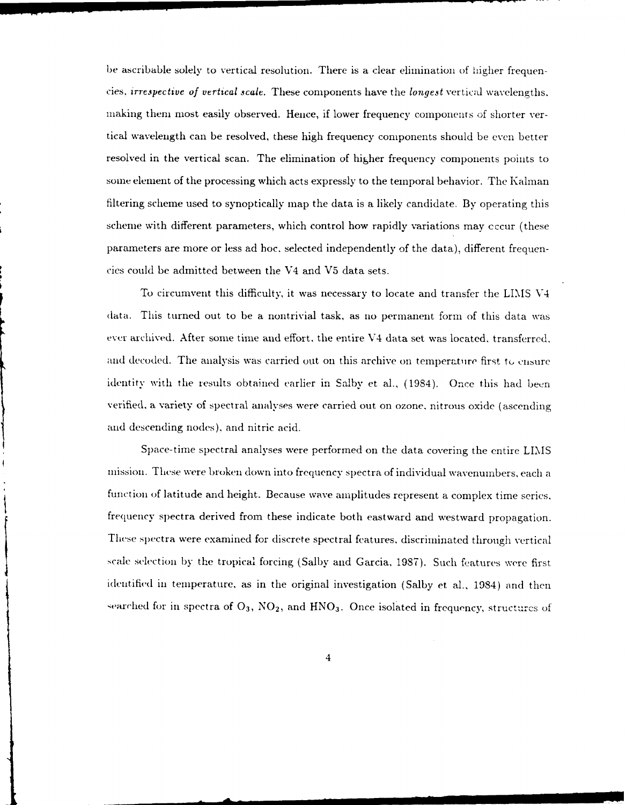be ascribable solely to vertical resolution. There is a clear elimination of higher frequencies, *irrespective of vertical scale.* These components have the *longest* vertical wavelengths. making them most easily observed. Hence, if lower frequency components of shorter vertical wavelength can be resolved, these high frequency components should be even better resolved in the vertical scan. The elimination of higher frequency components points to some element of the processing which acts expressly to the temporal behavior. The Kalman filtering scheme used to synoptically map the data is a likely candidate, By operating this scheme with different parameters, which control how rapidly variations may eccur (these parameters are more or less ad hoc. selected independently of the data), different frequencies could be admitted between the V4 and V5 data sets.

To circumvent this difficulty, it was necessary to locate and transfer the LIMS V4 data. This turned out to be a nontrivial task, as no permanent form of this data was ever archived. After some time and effort, the entire V4 data set was located, transferred, and decoded. The analysis was carried out on this archive on temperature first to ensure identity with the results obtained earlier in Salby et al.. (1984). Once this had been verified, a variety of spectral analyses were carried out on ozone, nitrous oxide (ascending and descending nodes), and nitric acid.

Space-time spectral analyses were performed on the data covering the entire LIMS mission. These were broken down into frequency spectra of individual wavenumbers, each a function of latitude and height. Because wave amplitudes represent a complex time series. frequency spectra derived from these indicate both eastward and westward propagation. These spectra were examined for discrete spectral features, discriminated through vertical scale selection by the tropical forcing (Salby and Garcia, 1987). Such features were first identified in temperature, as in the original investigation (Salby et al., 1984) and then searched for in spectra of  $O_3$ ,  $NO_2$ , and  $HNO_3$ . Once isolated in frequency, structures of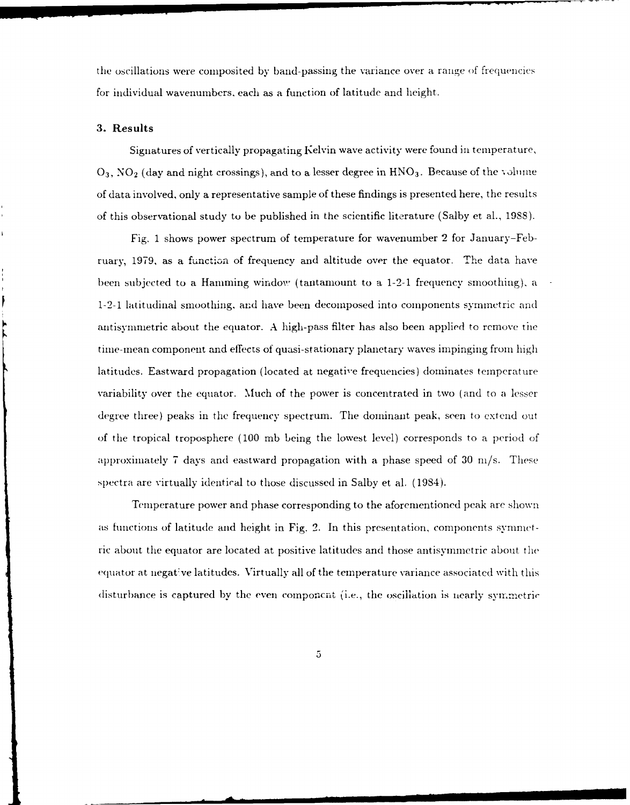the oscillations were composited by band-passing the variance over a range of frequencies for individual wavenumbers. each as a function of latitude and height.

### **3. Results**

Signatures of vertically propagating I'elvin wave activity were found in temperature, **0**<sub>3</sub>, NO<sub>2</sub> (day and night crossings), and to a lesser degree in HNO<sub>3</sub>. Because of the volume of data involved, only a representative sample of these findings is presented here, the results of this observational study to be published in the scientific literature (Salby et al., 1988).

Fig. 1 shows power spectrum of temperature for wavenumber 2 for January-February, 1979, as a function of frequency and altitude over the equator. The data have been subjected to a Hamming window (tantamount to a 1-2-1 frequency smoothing), a 1-2-1 latitudinal smoothing, and have been decomposed into components symmetric and antisymmetric about the equator. A high-pass filter has also been applied to remove the time-mean component and effects of quasi-stationary planetary waves impinging from high latitudes. Eastward propagation (located at negatie frequencies) dominates temperature variability over the equator. Much of the power is concentrated in two (and to a lesser degree three) peaks in the frequency spectrum. The dominant peak, seen to extend out of the tropical troposphere (100 mb being the lowest level) corresponds to a period of approximately 7 days and eastward propagation with a phase speed of 30 ni/s. These .spectra are virtually identical to those discussed in Salby et al. (1984).

Temperature power and phase corresponding to the aforementioned peak are shown as functions of latitude and height in Fig. 2. In this presentation, components synimnetric about the equator are located at positive latitudes and those antisymmetric about the equator at iegat:ve latitudes. Virtually all of the temperature variance associated with this disturbance is captured by the even componcnt (i.e., the oscillation is nearly symmetric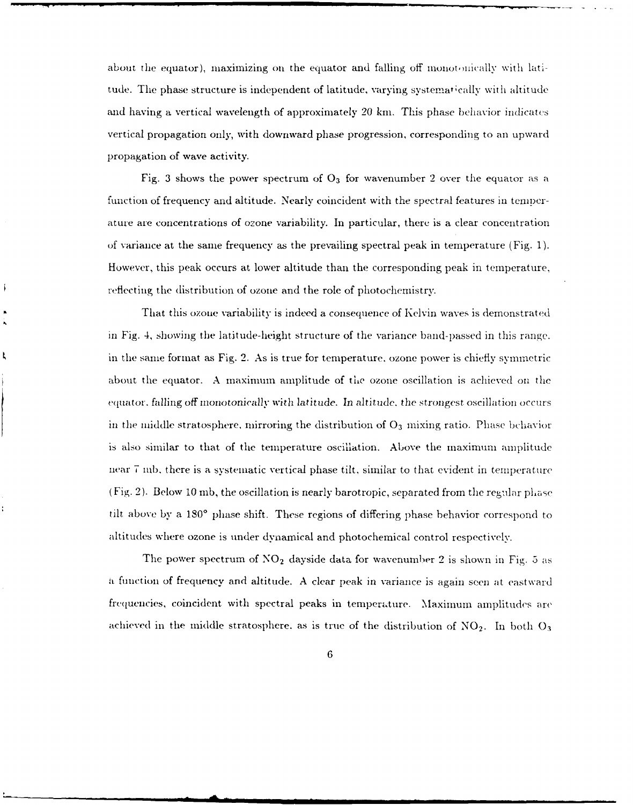about the equator), maximizing on the equator and falling off monotonically with latitude. The phase structure is independent of latitude, varying systematically with altitude and having a vertical wavelength of approximately  $20 \text{ km}$ . This phase behavior indicates vertical propagation only, with downward phase progression, corresponding to an upward propagation of wave activity.

Fig. 3 shows the power spectrum of  $O_3$  for wavenumber 2 over the equator as a function of frequency and altitude. Nearly coincident with the spectral features in temperature are concentrations of ozone variability. In particular, there is a clear concentration of variance at the same frequency as the prevailing spectral peak in temperature (Fig. 1). However, this peak occurs at lower altitude than the corresponding peak in temperature., reflecting the distribution of ozone and the role of photochemistry.

That this ozone variability is indeed a consequence of Kelvin waves is demonstrated in Fig. 4, showing the latitude-height structure of the variance band-passed in this range. in the same format as Fig. 2. As is true for temperature, ozone power is chiefly symmetric about the equator. A maximum amplitude of the ozone oscillation is achieved on the equator. falling off monotonically wvith *latitude.* In altitude, the strongest oscillation occurs in the middle stratosphere, mirroring the distribution of  $O<sub>3</sub>$  mixing ratio. Phase behavior is also similar to that of the temperature oscillation. Above the maximum amplitude near **7** nib, there is a systenatic vertical phase tilt. similar to that evident in temperature  $(Fig. 2)$ . Below 10 mb, the oscillation is nearly barotropic, separated from the regular phase tilt above by a **180'** phase shift. These regions of differing phase behavior correspond to altitudes where ozone is under dynamical and photochemical control respectively.

The power spectrum of  $NO<sub>2</sub>$  dayside data for wavenumber 2 is shown in Fig. 5 as a function of frequency and altitude. A clear peak in variance is again seen at eastward frequencies, coincident with spectral peaks in temperature. Maximum amplitudes are achieved in the middle stratosphere, as is true of the distribution of  $NO<sub>2</sub>$ . In both  $O<sub>3</sub>$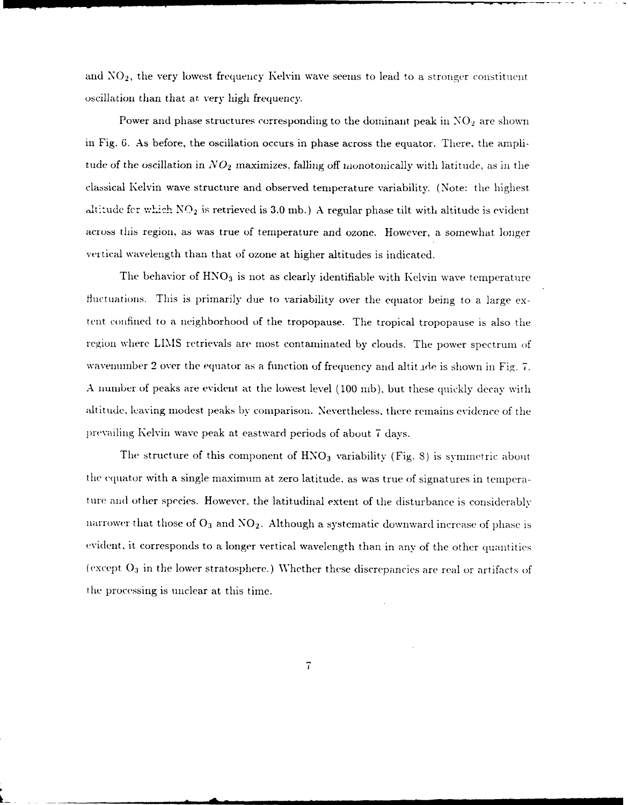and  $NO<sub>2</sub>$ , the very lowest frequency Kelvin wave seems to lead to a stronger constituent oscillation than that at. very high frequency.

Power and phase structures corresponding to the dominant peak in  $NO<sub>2</sub>$  are shown in Fig. 6. As before, the oscillation occurs in phase across the equator. There, the amplitude of the oscillation in  $NO<sub>2</sub>$  maximizes, falling off monotonically with latitude, as in the classical Kelvin wave structure and observed temperature variability. (Note: the highest altitude fer which  $NO<sub>2</sub>$  is retrieved is 3.0 mb.) A regular phase tilt with altitude is evident across this region, as was true of temperature and ozone. However, a somewhat longer vertical wavelength than that of ozone at higher altitudes is indicated.

The behavior of  $HNO<sub>3</sub>$  is not as clearly identifiable with Kelvin wave temperature fluctuations. This is primarily due to variability over the equator being to a large extent confined to a neighborhood of the tropopause. The tropical tropopause is also the region where LIMIS retrievals are most contaminated by clouds. The power spectrum of wavenumber 2 over the equator as a function of frequency and altitude is shown in Fig. 7. A number of peaks are evident at the lowest level (100 nib), but these quickly decay with altitude, leaving modest peaks by comparison. Nevertheless, there remains evidence of the prevailing Kelvin wave peak at eastward periods of about 7 days.

The structure of this component of HNO<sub>3</sub> variability (Fig. 8) is symmetric about the equator with a single maximmn at zero latitude, as was true of signatures in temperature and other species. However, the latitudinal extent of the disturbance is considerably narrower that those of  $O_3$  and  $NO_2$ . Although a systematic downward increase of phase is evident, it corresponds to a longer vertical wavelength than in any of the other quantities (except **03** in the lower stratosphere.) Whether these discrepancies are real or artifacts of the processing is unclear at this time.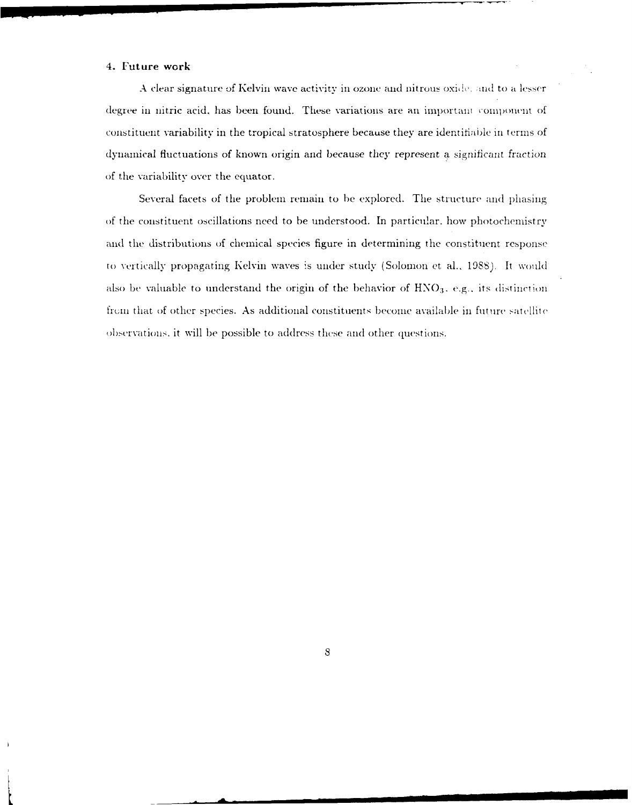### 4. Future work

A clear signature of Kelvin wave activity in ozone and nitrous oxide, and to a lesser degree in nitric acid, has been found. These variations are an important component of constituent variability in the tropical stratosphere because they are identifiable in terms of dynamical fluctuations of known origin and because they represent a significant fraction of the variability over the equator.

Several facets of the problem remain to be explored. The structure and phasing of the constituent oscillations need to be understood. In particular, how photochemistry and the distributions of chemical species figure in determining the constituent response to vertically propagating Kelvin waves is under study (Solomon et al., 1988). It would also be valuable to understand the origin of the behavior of  $HNO<sub>3</sub>$ , e.g., its distinction from that of other species. As additional constituents become available in future satellite observations, it will be possible to address these and other questions.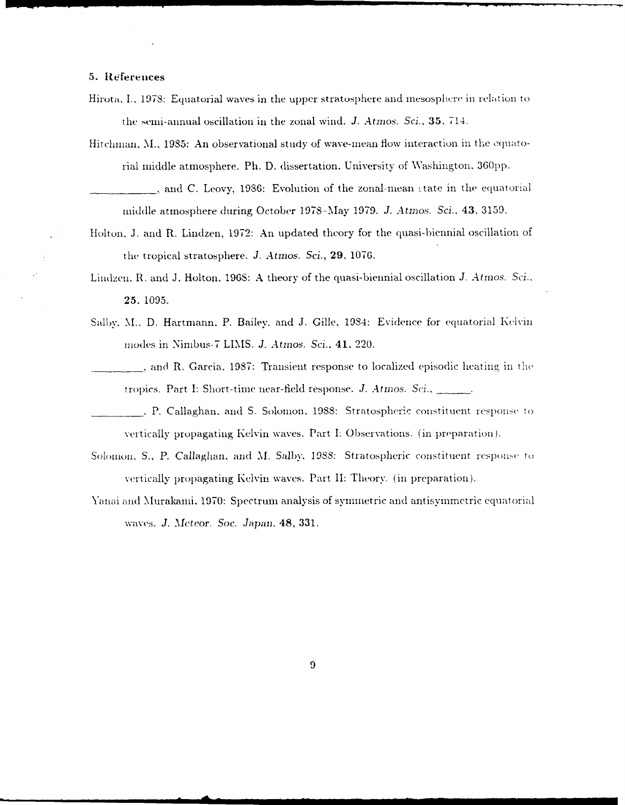## **5.** {eferences

- Hirota, I., 1978: Equatorial waves in the upper stratosphere and mesosphere in relation to the seni-annual oscillation in the zonal wind. *J. Atmos. Sci.,* **35.** 714.
- Hitchman, M., 1985: An observational study of wave-mean flow interaction in the equatorial middle atmosphere. Ph. D. dissertation, University of Washington, 360pp. , and C. Leovy, 1986: Evolution of the zonal-mean state in the equatorial middle atmosphere during October 1978-May 1979. *J. Atros. Sc.,* 43, 3159.
- Holton, J. and R. Lindzen, 1972: An updated theory for the quasi-biennial oscillation of

the tropical stratosphere. *J. Atmos. Sci.,* **29, 1076.**

- Linlzen. R. and J. Holton, 196S: A theory of the quasi-biennial oscillation *J. Atmos. Sci.,* **25. 1095.**
- Salby, M., D. Hartmann, P. Bailey, and J. Gille, 1984: Evidence for equatorial Kelvin lnodes in Nimbus-7 LINIS. *J. Atinos. Sci., 41,* 220.
- , and R. Garcia, 1987: Transient response to localized episodic heating in the tropics. Part I: Short-time near-field response. *J. Atmos. Sci.,* \_\_ .\_.
- *,* P. Callaghan. and S. Solomon, 1988: Stratospheric constituent responsc to vertically propagating Kelvin waves. Part I: Observations. (in preparation).
- Solomon, S., P. Callaghan, and M. Salby, 1988: Stratospheric constituent response to vertically propagating Kelvin waves. Part II: Theory. (in preparation).
- Yanai and Murakami, 1970: Spectrum analysis of symmetric and antisymmetric equatorial waves. J. *Meteor. Soc. Japan,* 48, 331.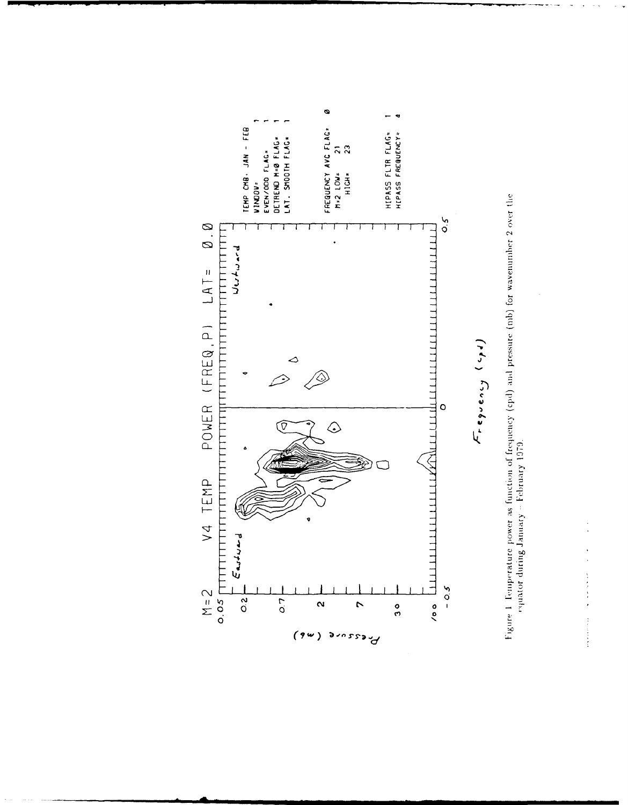

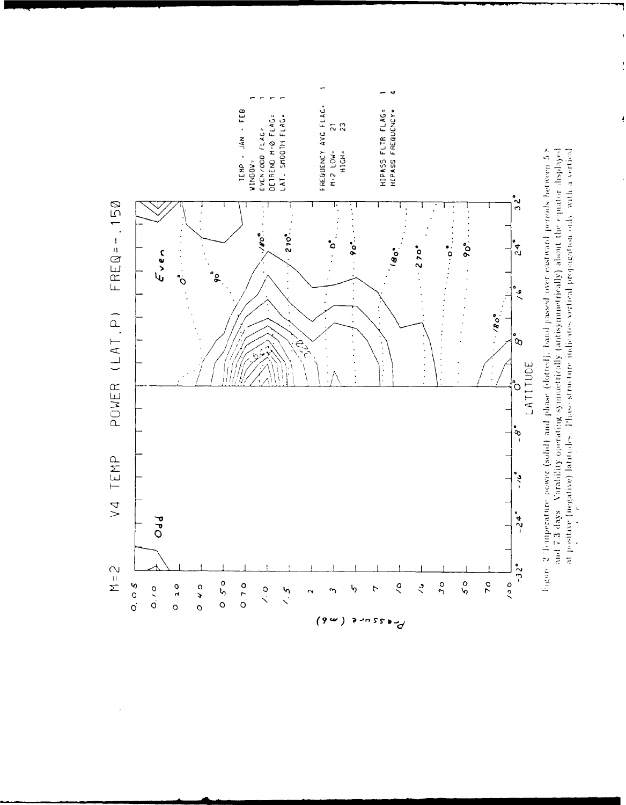

Figure 2 Temperature power (solid) and phase (dotted), band passed over eastward periods between 5.8 and 7.3 days. Varability operating symmetrically (antisymmetrically) about the equator displayed at positive (negative) latundes. Phase structure indicates vertical propagation only with a vertical  $\overline{1}$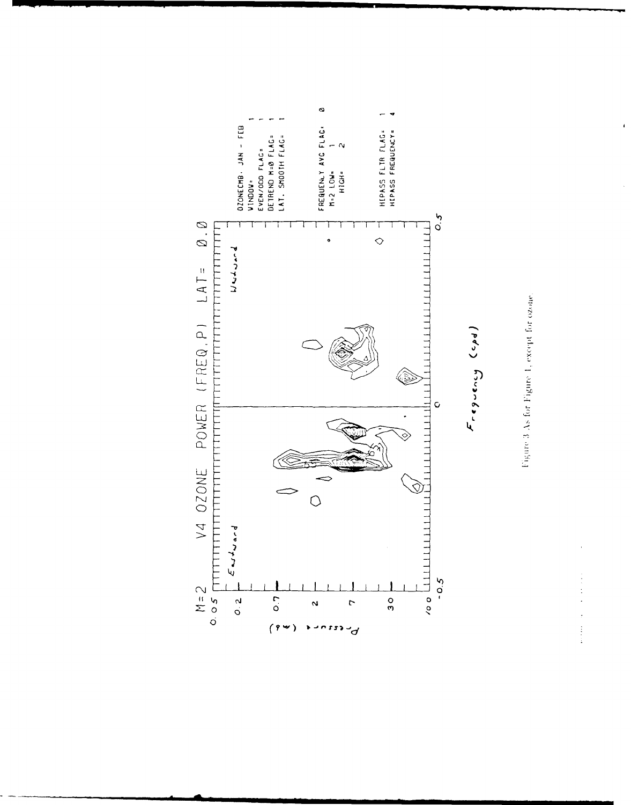



 $F \circ g \circ g \circ g$ 

 $\begin{array}{c} \mathbf{1} \\ \mathbf{1} \\ \mathbf{2} \end{array}$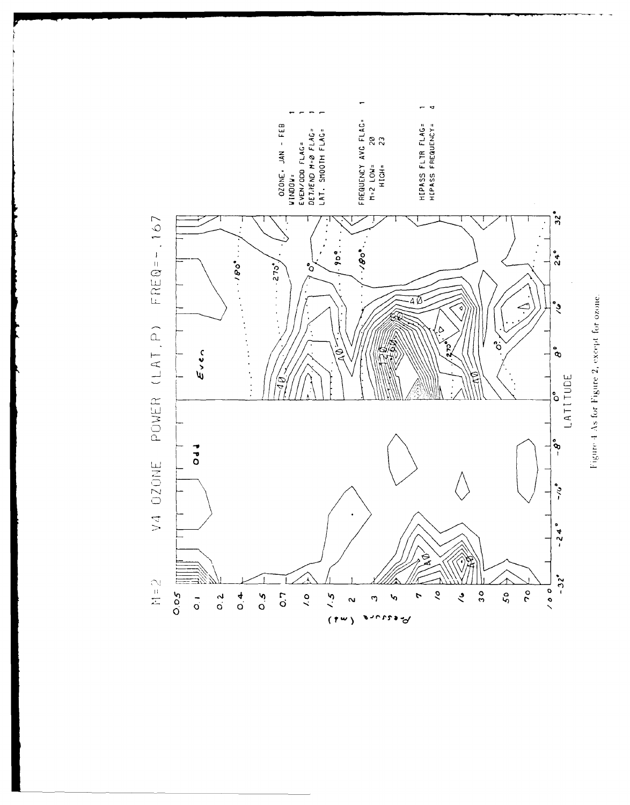

Figure 4 As for Figure 2, except for ozone.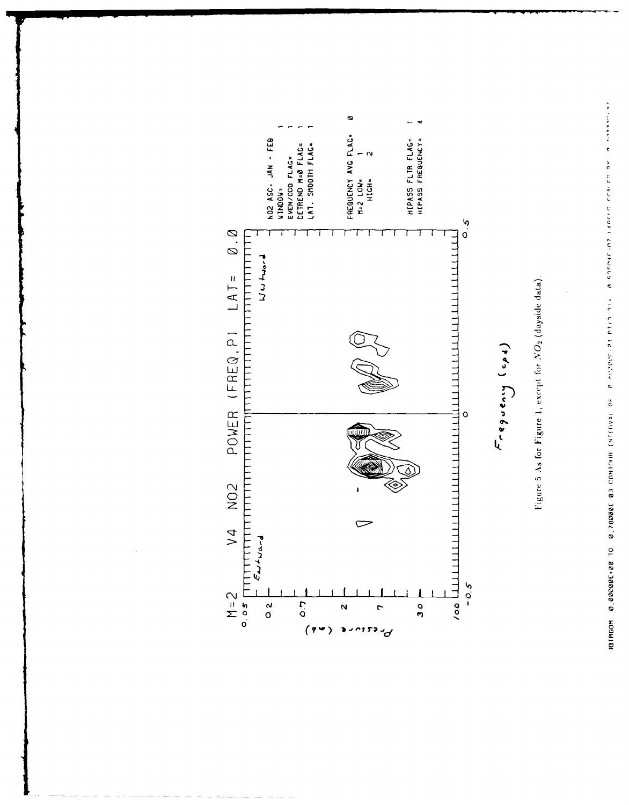

Figure 5 As for Figure 1, except for NO2 (dayside data).

 $F_{reg}(q)$ 

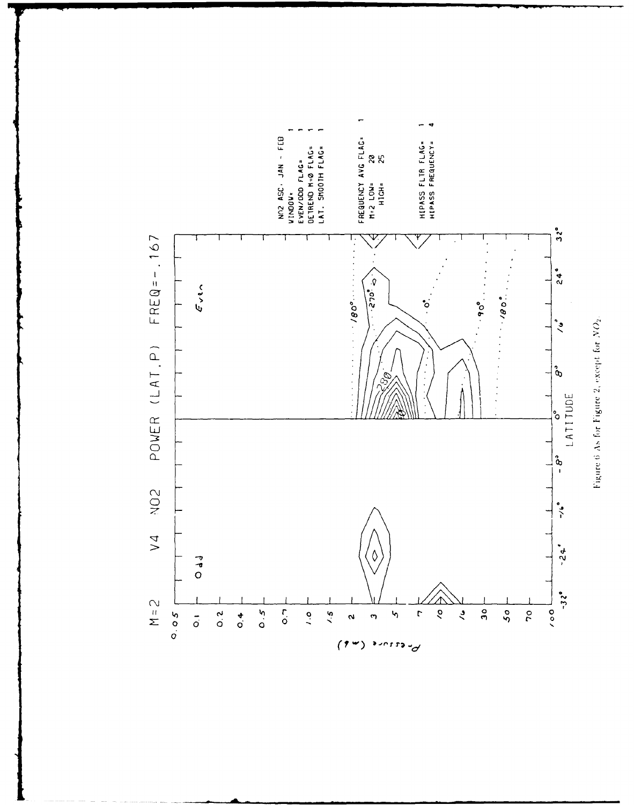

Figure 6 As for Figure 2, except for NO2.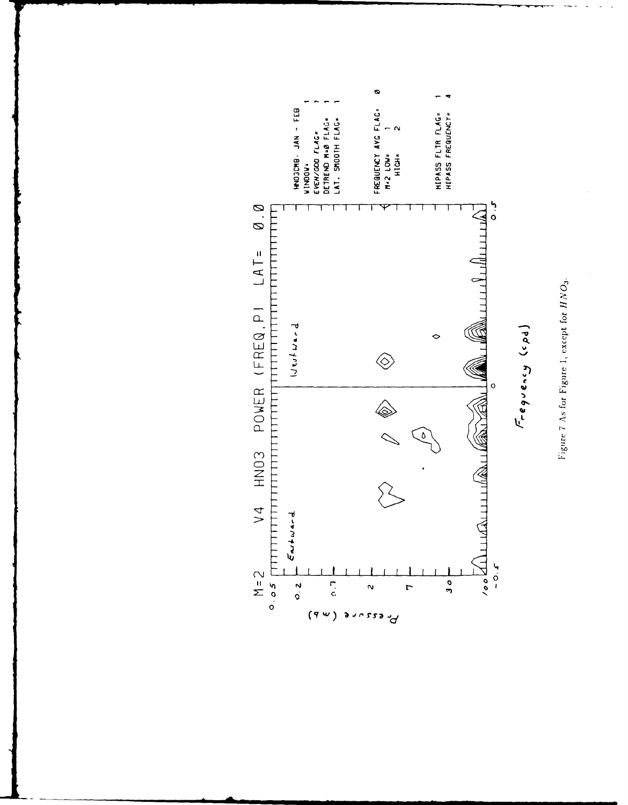Figure 7 As for Figure 1, except for  $HNO_3$ .